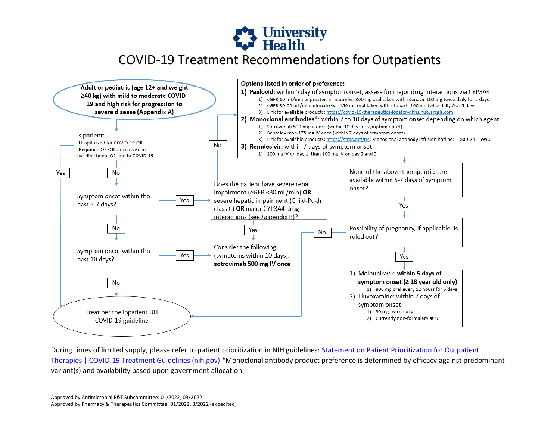



During times of limited supply, please refer to patient prioritization in NIH guidelines: Statement on Patient Prioritization for Outpatient [Therapies | COVID-19 Treatment Guidelines \(nih.gov\)](https://www.covid19treatmentguidelines.nih.gov/therapies/statement-on-patient-prioritization-for-outpatient-therapies/?utm_campaign=highlights) \*Monoclonal antibody product preference is determined by efficacy against predominant variant(s) and availability based upon government allocation.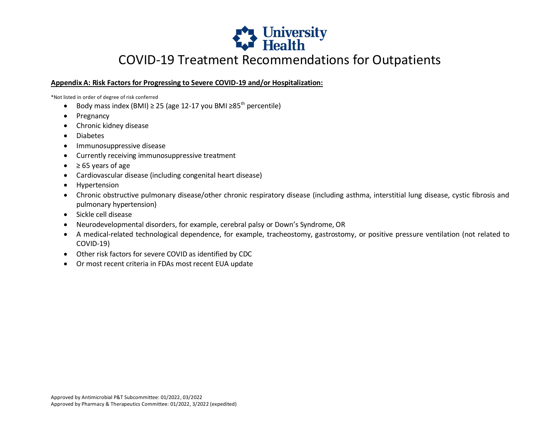

### **Appendix A: Risk Factors for Progressing to Severe COVID-19 and/or Hospitalization:**

\*Not listed in order of degree of risk conferred

- Body mass index (BMI)  $\geq$  25 (age 12-17 you BMI  $\geq$ 85<sup>th</sup> percentile)
- Pregnancy
- Chronic kidney disease
- Diabetes
- Immunosuppressive disease
- Currently receiving immunosuppressive treatment
- $\bullet$   $\geq$  65 years of age
- Cardiovascular disease (including congenital heart disease)
- Hypertension
- Chronic obstructive pulmonary disease/other chronic respiratory disease (including asthma, interstitial lung disease, cystic fibrosis and pulmonary hypertension)
- Sickle cell disease
- Neurodevelopmental disorders, for example, cerebral palsy or Down's Syndrome, OR
- A medical-related technological dependence, for example, tracheostomy, gastrostomy, or positive pressure ventilation (not related to COVID-19)
- Other risk factors for severe COVID as identified by CDC
- Or most recent criteria in FDAs most recent EUA update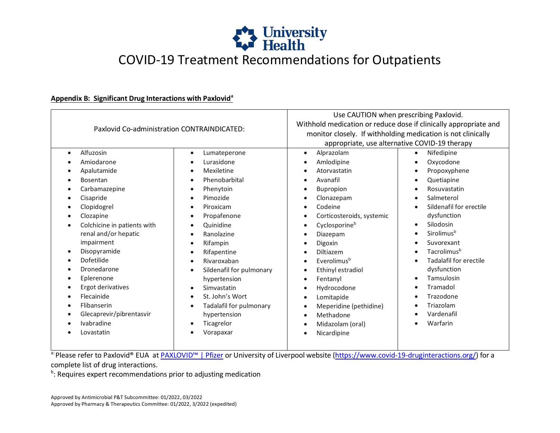

### **Appendix B: Significant Drug Interactions with Paxlovid<sup>a</sup>**

| Paxlovid Co-administration CONTRAINDICATED: |                                       | Use CAUTION when prescribing Paxlovid.<br>Withhold medication or reduce dose if clinically appropriate and<br>monitor closely. If withholding medication is not clinically<br>appropriate, use alternative COVID-19 therapy |                         |
|---------------------------------------------|---------------------------------------|-----------------------------------------------------------------------------------------------------------------------------------------------------------------------------------------------------------------------------|-------------------------|
| Alfuzosin<br>$\bullet$                      | Lumateperone<br>$\bullet$             | Alprazolam<br>$\bullet$                                                                                                                                                                                                     | Nifedipine<br>$\bullet$ |
| Amiodarone                                  | Lurasidone<br>$\bullet$               | Amlodipine                                                                                                                                                                                                                  | Oxycodone               |
| Apalutamide                                 | Mexiletine<br>$\bullet$               | Atorvastatin                                                                                                                                                                                                                | Propoxyphene            |
| <b>Bosentan</b><br>$\bullet$                | Phenobarbital<br>$\bullet$            | Avanafil                                                                                                                                                                                                                    | Quetiapine              |
| Carbamazepine<br>$\bullet$                  | Phenytoin<br>$\bullet$                | Bupropion                                                                                                                                                                                                                   | Rosuvastatin            |
| Cisapride<br>$\bullet$                      | Pimozide<br>$\bullet$                 | Clonazepam                                                                                                                                                                                                                  | Salmeterol              |
| Clopidogrel<br>$\bullet$                    | Piroxicam<br>$\bullet$                | Codeine                                                                                                                                                                                                                     | Sildenafil for erectile |
| Clozapine                                   | Propafenone<br>$\bullet$              | Corticosteroids, systemic                                                                                                                                                                                                   | dysfunction             |
| Colchicine in patients with                 | Quinidine                             | Cyclosporineb                                                                                                                                                                                                               | Silodosin               |
| renal and/or hepatic                        | Ranolazine<br>$\bullet$               | Diazepam                                                                                                                                                                                                                    | Sirolimus <sup>b</sup>  |
| impairment                                  | Rifampin<br>$\bullet$                 | Digoxin<br>٠                                                                                                                                                                                                                | Suvorexant              |
| Disopyramide                                | Rifapentine<br>$\bullet$              | Diltiazem                                                                                                                                                                                                                   | Tacrolimus <sup>b</sup> |
| Dofetilide<br>$\bullet$                     | Rivaroxaban<br>$\bullet$              | Everolimus <sup>b</sup>                                                                                                                                                                                                     | Tadalafil for erectile  |
| Dronedarone                                 | Sildenafil for pulmonary<br>$\bullet$ | Ethinyl estradiol                                                                                                                                                                                                           | dysfunction             |
| Eplerenone<br>$\bullet$                     | hypertension                          | Fentanyl<br>$\bullet$                                                                                                                                                                                                       | Tamsulosin              |
| Ergot derivatives<br>٠                      | Simvastatin<br>$\bullet$              | Hydrocodone<br>$\bullet$                                                                                                                                                                                                    | Tramadol                |
| Flecainide                                  | St. John's Wort<br>$\bullet$          | Lomitapide                                                                                                                                                                                                                  | Trazodone               |
| Flibanserin<br>$\bullet$                    | Tadalafil for pulmonary<br>$\bullet$  | Meperidine (pethidine)                                                                                                                                                                                                      | Triazolam               |
| Glecaprevir/pibrentasvir<br>$\bullet$       | hypertension                          | Methadone<br>$\bullet$                                                                                                                                                                                                      | Vardenafil              |
| Ivabradine                                  | Ticagrelor<br>$\bullet$               | Midazolam (oral)                                                                                                                                                                                                            | Warfarin                |
| Lovastatin                                  | Vorapaxar<br>$\bullet$                | Nicardipine                                                                                                                                                                                                                 |                         |
|                                             |                                       |                                                                                                                                                                                                                             |                         |

<sup>a:</sup> Please refer to Paxlovid® EUA at <u>[PAXLOVID™ | Pfizer](https://www.pfizer.com/products/product-detail/paxlovidtm)</u> or University of Liverpool website [\(https://www.covid-19-druginteractions.org/\)](https://www.covid-19-druginteractions.org/) for a complete list of drug interactions.<br><sup>b</sup>: Poquires expert recommendation

<sup>b</sup>: Requires expert recommendations prior to adjusting medication